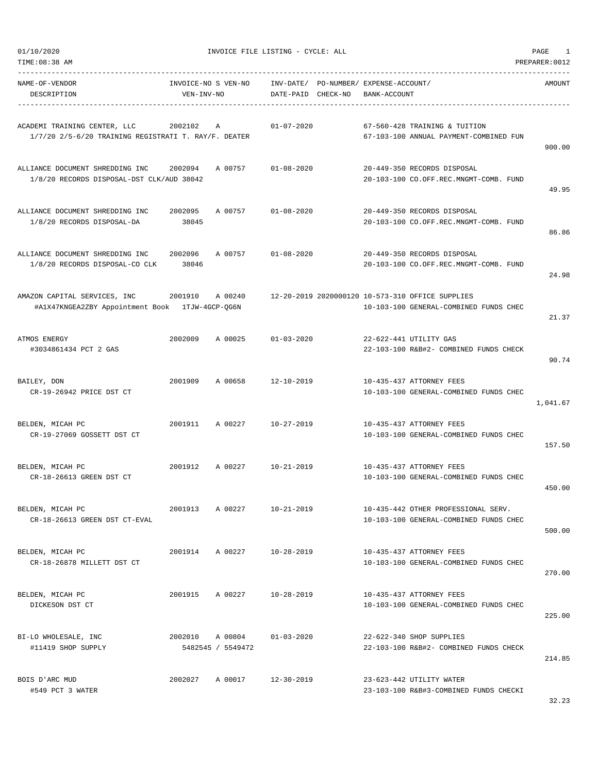|  | 01/10/2020 |
|--|------------|
|  |            |
|  |            |

TIME:08:38 AM PREPARER:0012

| NAME-OF-VENDOR<br>DESCRIPTION                                                                                                                    | VEN-INV-NO       |                   | INVOICE-NO S VEN-NO INV-DATE/ PO-NUMBER/ EXPENSE-ACCOUNT/<br>DATE-PAID CHECK-NO | BANK-ACCOUNT |                                                                               | AMOUNT   |
|--------------------------------------------------------------------------------------------------------------------------------------------------|------------------|-------------------|---------------------------------------------------------------------------------|--------------|-------------------------------------------------------------------------------|----------|
| ACADEMI TRAINING CENTER, LLC<br>$1/7/20$ 2/5-6/20 TRAINING REGISTRATI T. RAY/F. DEATER                                                           |                  |                   | 2002102 A 01-07-2020                                                            |              | 67-560-428 TRAINING & TUITION<br>67-103-100 ANNUAL PAYMENT-COMBINED FUN       | 900.00   |
| ALLIANCE DOCUMENT SHREDDING INC 2002094<br>1/8/20 RECORDS DISPOSAL-DST CLK/AUD 38042                                                             |                  |                   | A 00757 01-08-2020                                                              |              | 20-449-350 RECORDS DISPOSAL<br>20-103-100 CO.OFF.REC.MNGMT-COMB. FUND         | 49.95    |
| ALLIANCE DOCUMENT SHREDDING INC<br>1/8/20 RECORDS DISPOSAL-DA                                                                                    | 2002095<br>38045 | A 00757           | $01 - 08 - 2020$                                                                |              | 20-449-350 RECORDS DISPOSAL<br>20-103-100 CO.OFF.REC.MNGMT-COMB. FUND         | 86.86    |
| ALLIANCE DOCUMENT SHREDDING INC 2002096<br>1/8/20 RECORDS DISPOSAL-CO CLK                                                                        | 38046            | A 00757           | $01 - 08 - 2020$                                                                |              | 20-449-350 RECORDS DISPOSAL<br>20-103-100 CO.OFF.REC.MNGMT-COMB. FUND         | 24.98    |
| AMAZON CAPITAL SERVICES, INC 3001910 A 00240 12-20-2019 2020000120 10-573-310 OFFICE SUPPLIES<br>#A1X47KNGEA2ZBY Appointment Book 1TJW-4GCP-QG6N |                  |                   |                                                                                 |              | 10-103-100 GENERAL-COMBINED FUNDS CHEC                                        | 21.37    |
| ATMOS ENERGY<br>#3034861434 PCT 2 GAS                                                                                                            | 2002009          |                   | A 00025 01-03-2020                                                              |              | 22-622-441 UTILITY GAS<br>22-103-100 R&B#2- COMBINED FUNDS CHECK              | 90.74    |
| BAILEY, DON<br>CR-19-26942 PRICE DST CT                                                                                                          | 2001909          | A 00658           | 12-10-2019                                                                      |              | 10-435-437 ATTORNEY FEES<br>10-103-100 GENERAL-COMBINED FUNDS CHEC            | 1,041.67 |
| BELDEN, MICAH PC<br>CR-19-27069 GOSSETT DST CT                                                                                                   | 2001911          | A 00227           | 10-27-2019                                                                      |              | 10-435-437 ATTORNEY FEES<br>10-103-100 GENERAL-COMBINED FUNDS CHEC            | 157.50   |
| BELDEN, MICAH PC<br>CR-18-26613 GREEN DST CT                                                                                                     |                  |                   | 2001912 A 00227 10-21-2019                                                      |              | 10-435-437 ATTORNEY FEES<br>10-103-100 GENERAL-COMBINED FUNDS CHEC            | 450.00   |
| BELDEN, MICAH PC<br>CR-18-26613 GREEN DST CT-EVAL                                                                                                | 2001913          | A 00227           | $10 - 21 - 2019$                                                                |              | 10-435-442 OTHER PROFESSIONAL SERV.<br>10-103-100 GENERAL-COMBINED FUNDS CHEC | 500.00   |
| BELDEN, MICAH PC<br>CR-18-26878 MILLETT DST CT                                                                                                   |                  | 2001914 A 00227   | $10 - 28 - 2019$                                                                |              | 10-435-437 ATTORNEY FEES<br>10-103-100 GENERAL-COMBINED FUNDS CHEC            | 270.00   |
| BELDEN, MICAH PC<br>DICKESON DST CT                                                                                                              |                  | 2001915 A 00227   | 10-28-2019                                                                      |              | 10-435-437 ATTORNEY FEES<br>10-103-100 GENERAL-COMBINED FUNDS CHEC            | 225.00   |
| BI-LO WHOLESALE, INC<br>#11419 SHOP SUPPLY                                                                                                       |                  | 5482545 / 5549472 | 2002010 A 00804 01-03-2020                                                      |              | 22-622-340 SHOP SUPPLIES<br>22-103-100 R&B#2- COMBINED FUNDS CHECK            | 214.85   |
| BOIS D'ARC MUD<br>#549 PCT 3 WATER                                                                                                               | 2002027          |                   | A 00017 12-30-2019                                                              |              | 23-623-442 UTILITY WATER<br>23-103-100 R&B#3-COMBINED FUNDS CHECKI            |          |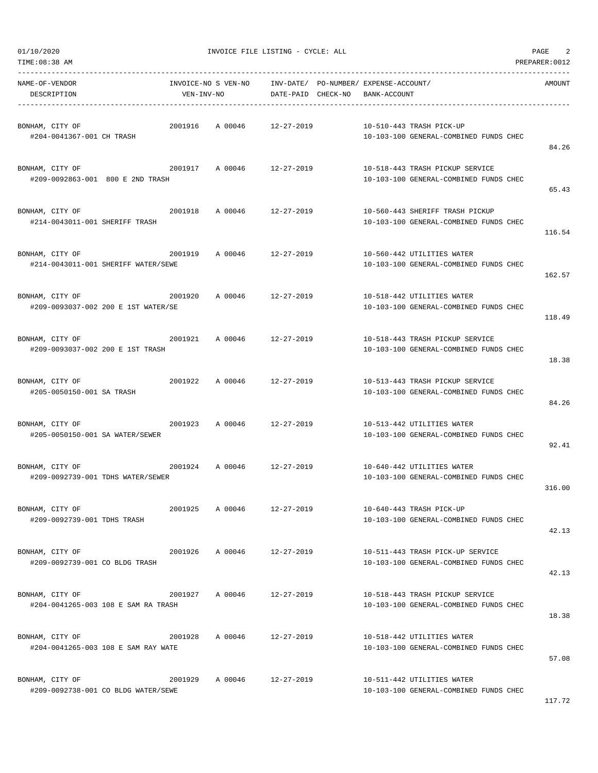| NAME-OF-VENDOR<br>DESCRIPTION                                                        | VEN-INV-NO | ------------------------<br>INVOICE-NO S VEN-NO INV-DATE/ PO-NUMBER/ EXPENSE-ACCOUNT/ | DATE-PAID CHECK-NO BANK-ACCOUNT |  |                                                                            | AMOUNT |
|--------------------------------------------------------------------------------------|------------|---------------------------------------------------------------------------------------|---------------------------------|--|----------------------------------------------------------------------------|--------|
| BONHAM, CITY OF<br>#204-0041367-001 CH TRASH                                         |            | 2001916 A 00046 12-27-2019                                                            |                                 |  | 10-510-443 TRASH PICK-UP<br>10-103-100 GENERAL-COMBINED FUNDS CHEC         | 84.26  |
| BONHAM, CITY OF<br>#209-0092863-001 800 E 2ND TRASH                                  |            | 2001917 A 00046 12-27-2019                                                            |                                 |  | 10-518-443 TRASH PICKUP SERVICE<br>10-103-100 GENERAL-COMBINED FUNDS CHEC  | 65.43  |
| BONHAM, CITY OF<br>2001918 A 00046 12-27-2019<br>#214-0043011-001 SHERIFF TRASH      |            |                                                                                       |                                 |  | 10-560-443 SHERIFF TRASH PICKUP<br>10-103-100 GENERAL-COMBINED FUNDS CHEC  | 116.54 |
| 2001919 A 00046 12-27-2019<br>BONHAM, CITY OF<br>#214-0043011-001 SHERIFF WATER/SEWE |            |                                                                                       |                                 |  | 10-560-442 UTILITIES WATER<br>10-103-100 GENERAL-COMBINED FUNDS CHEC       | 162.57 |
| BONHAM, CITY OF<br>#209-0093037-002 200 E 1ST WATER/SE                               |            | 2001920 A 00046 12-27-2019                                                            |                                 |  | 10-518-442 UTILITIES WATER<br>10-103-100 GENERAL-COMBINED FUNDS CHEC       | 118.49 |
| BONHAM, CITY OF<br>2001921 A 00046 12-27-2019<br>#209-0093037-002 200 E 1ST TRASH    |            |                                                                                       |                                 |  | 10-518-443 TRASH PICKUP SERVICE<br>10-103-100 GENERAL-COMBINED FUNDS CHEC  | 18.38  |
| BONHAM, CITY OF<br>#205-0050150-001 SA TRASH                                         |            | 2001922 A 00046 12-27-2019                                                            |                                 |  | 10-513-443 TRASH PICKUP SERVICE<br>10-103-100 GENERAL-COMBINED FUNDS CHEC  | 84.26  |
| BONHAM, CITY OF<br>#205-0050150-001 SA WATER/SEWER                                   |            | 2001923 A 00046 12-27-2019                                                            |                                 |  | 10-513-442 UTILITIES WATER<br>10-103-100 GENERAL-COMBINED FUNDS CHEC       | 92.41  |
| #209-0092739-001 TDHS WATER/SEWER                                                    |            |                                                                                       |                                 |  | 10-640-442 UTILITIES WATER<br>10-103-100 GENERAL-COMBINED FUNDS CHEC       | 316.00 |
| BONHAM, CITY OF<br>#209-0092739-001 TDHS TRASH                                       | 2001925    | A 00046                                                                               | $12 - 27 - 2019$                |  | 10-640-443 TRASH PICK-UP<br>10-103-100 GENERAL-COMBINED FUNDS CHEC         | 42.13  |
| BONHAM, CITY OF<br>#209-0092739-001 CO BLDG TRASH                                    |            | 2001926 A 00046 12-27-2019                                                            |                                 |  | 10-511-443 TRASH PICK-UP SERVICE<br>10-103-100 GENERAL-COMBINED FUNDS CHEC | 42.13  |
| BONHAM, CITY OF<br>#204-0041265-003 108 E SAM RA TRASH                               |            | 2001927 A 00046                                                                       | 12-27-2019                      |  | 10-518-443 TRASH PICKUP SERVICE<br>10-103-100 GENERAL-COMBINED FUNDS CHEC  | 18.38  |
| BONHAM, CITY OF<br>#204-0041265-003 108 E SAM RAY WATE                               | 2001928    | A 00046                                                                               | 12-27-2019                      |  | 10-518-442 UTILITIES WATER<br>10-103-100 GENERAL-COMBINED FUNDS CHEC       | 57.08  |
| BONHAM, CITY OF<br>#209-0092738-001 CO BLDG WATER/SEWE                               |            | 2001929 A 00046 12-27-2019                                                            |                                 |  | 10-511-442 UTILITIES WATER<br>10-103-100 GENERAL-COMBINED FUNDS CHEC       |        |

TIME:08:38 AM PREPARER:0012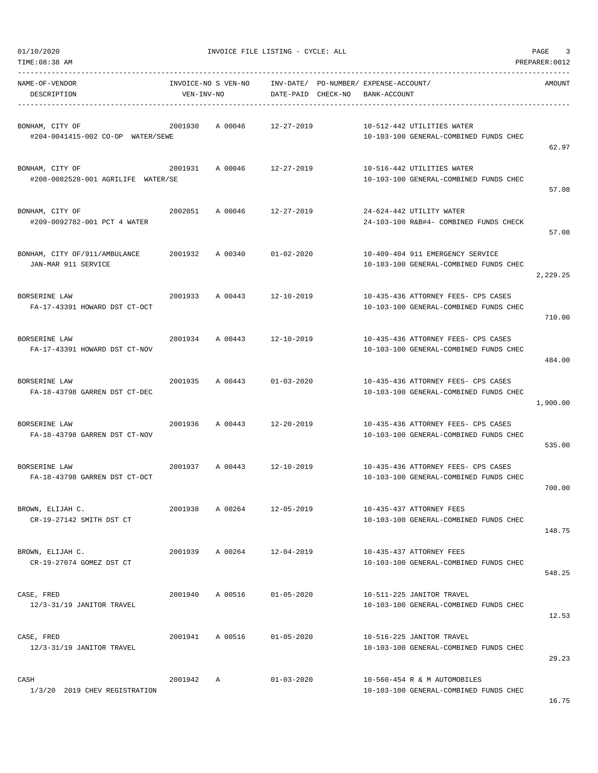|  | 01/10/2020 |
|--|------------|
|  |            |

| NAME-OF-VENDOR<br>DESCRIPTION                         | INVOICE-NO S VEN-NO<br>VEN-INV-NO |                    | DATE-PAID CHECK-NO | INV-DATE/ PO-NUMBER/ EXPENSE-ACCOUNT/<br>BANK-ACCOUNT |                                                                               | AMOUNT   |
|-------------------------------------------------------|-----------------------------------|--------------------|--------------------|-------------------------------------------------------|-------------------------------------------------------------------------------|----------|
| BONHAM, CITY OF<br>#204-0041415-002 CO-OP WATER/SEWE  | 2001930                           | A 00046            | 12-27-2019         |                                                       | 10-512-442 UTILITIES WATER<br>10-103-100 GENERAL-COMBINED FUNDS CHEC          | 62.97    |
| BONHAM, CITY OF<br>#208-0082528-001 AGRILIFE WATER/SE | 2001931                           | A 00046 12-27-2019 |                    |                                                       | 10-516-442 UTILITIES WATER<br>10-103-100 GENERAL-COMBINED FUNDS CHEC          | 57.08    |
| BONHAM, CITY OF<br>#209-0092782-001 PCT 4 WATER       | 2002051                           | A 00046            | 12-27-2019         |                                                       | 24-624-442 UTILITY WATER<br>24-103-100 R&B#4- COMBINED FUNDS CHECK            | 57.08    |
| BONHAM, CITY OF/911/AMBULANCE<br>JAN-MAR 911 SERVICE  | 2001932                           | A 00340            | $01 - 02 - 2020$   |                                                       | 10-409-404 911 EMERGENCY SERVICE<br>10-103-100 GENERAL-COMBINED FUNDS CHEC    | 2,229.25 |
| <b>BORSERINE LAW</b><br>FA-17-43391 HOWARD DST CT-OCT | 2001933                           | A 00443 12-10-2019 |                    |                                                       | 10-435-436 ATTORNEY FEES- CPS CASES<br>10-103-100 GENERAL-COMBINED FUNDS CHEC | 710.00   |
| BORSERINE LAW<br>FA-17-43391 HOWARD DST CT-NOV        | 2001934                           | A 00443            | 12-10-2019         |                                                       | 10-435-436 ATTORNEY FEES- CPS CASES<br>10-103-100 GENERAL-COMBINED FUNDS CHEC | 484.00   |
| BORSERINE LAW<br>FA-18-43798 GARREN DST CT-DEC        | 2001935                           | A 00443            | $01 - 03 - 2020$   |                                                       | 10-435-436 ATTORNEY FEES- CPS CASES<br>10-103-100 GENERAL-COMBINED FUNDS CHEC | 1,900.00 |
| BORSERINE LAW<br>FA-18-43798 GARREN DST CT-NOV        | 2001936                           | A 00443 12-20-2019 |                    |                                                       | 10-435-436 ATTORNEY FEES- CPS CASES<br>10-103-100 GENERAL-COMBINED FUNDS CHEC | 535.00   |
| <b>BORSERINE LAW</b><br>FA-18-43798 GARREN DST CT-OCT | 2001937                           | A 00443            | 12-10-2019         |                                                       | 10-435-436 ATTORNEY FEES- CPS CASES<br>10-103-100 GENERAL-COMBINED FUNDS CHEC | 700.00   |
| BROWN, ELIJAH C.<br>CR-19-27142 SMITH DST CT          | 2001938                           | A 00264            | 12-05-2019         |                                                       | 10-435-437 ATTORNEY FEES<br>10-103-100 GENERAL-COMBINED FUNDS CHEC            | 148.75   |
| BROWN, ELIJAH C.<br>CR-19-27074 GOMEZ DST CT          | 2001939                           | A 00264            | $12 - 04 - 2019$   |                                                       | 10-435-437 ATTORNEY FEES<br>10-103-100 GENERAL-COMBINED FUNDS CHEC            | 548.25   |
| CASE, FRED<br>12/3-31/19 JANITOR TRAVEL               | 2001940                           | A 00516            | $01 - 05 - 2020$   |                                                       | 10-511-225 JANITOR TRAVEL<br>10-103-100 GENERAL-COMBINED FUNDS CHEC           | 12.53    |
| CASE, FRED<br>12/3-31/19 JANITOR TRAVEL               | 2001941                           | A 00516            | $01 - 05 - 2020$   |                                                       | 10-516-225 JANITOR TRAVEL<br>10-103-100 GENERAL-COMBINED FUNDS CHEC           | 29.23    |
| CASH<br>1/3/20 2019 CHEV REGISTRATION                 | 2001942                           | Α                  | $01 - 03 - 2020$   |                                                       | 10-560-454 R & M AUTOMOBILES<br>10-103-100 GENERAL-COMBINED FUNDS CHEC        |          |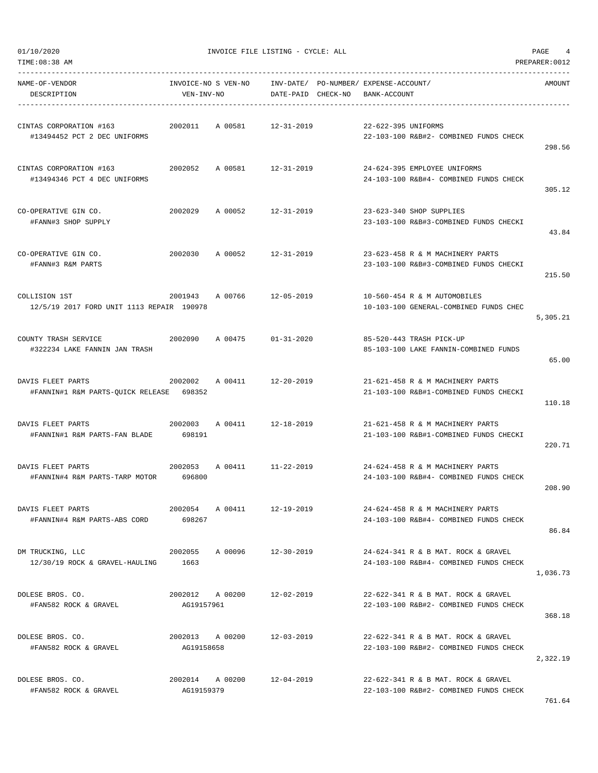| TIME: 08:38 AM                                                |                                   |         |                                 |                                                                               | PREPARER: 0012 |
|---------------------------------------------------------------|-----------------------------------|---------|---------------------------------|-------------------------------------------------------------------------------|----------------|
| NAME-OF-VENDOR<br>DESCRIPTION                                 | INVOICE-NO S VEN-NO<br>VEN-INV-NO |         | INV-DATE/<br>DATE-PAID CHECK-NO | PO-NUMBER/ EXPENSE-ACCOUNT/<br>BANK-ACCOUNT                                   | AMOUNT         |
| CINTAS CORPORATION #163<br>#13494452 PCT 2 DEC UNIFORMS       | 2002011                           | A 00581 | $12 - 31 - 2019$                | 22-622-395 UNIFORMS<br>22-103-100 R&B#2- COMBINED FUNDS CHECK                 | 298.56         |
| CINTAS CORPORATION #163<br>#13494346 PCT 4 DEC UNIFORMS       | 2002052                           | A 00581 | 12-31-2019                      | 24-624-395 EMPLOYEE UNIFORMS<br>24-103-100 R&B#4- COMBINED FUNDS CHECK        | 305.12         |
| CO-OPERATIVE GIN CO.<br>#FANN#3 SHOP SUPPLY                   | 2002029                           | A 00052 | $12 - 31 - 2019$                | 23-623-340 SHOP SUPPLIES<br>23-103-100 R&B#3-COMBINED FUNDS CHECKI            | 43.84          |
| CO-OPERATIVE GIN CO.<br>#FANN#3 R&M PARTS                     | 2002030                           | A 00052 | $12 - 31 - 2019$                | 23-623-458 R & M MACHINERY PARTS<br>23-103-100 R&B#3-COMBINED FUNDS CHECKI    | 215.50         |
| COLLISION 1ST<br>12/5/19 2017 FORD UNIT 1113 REPAIR 190978    | 2001943                           | A 00766 | $12 - 05 - 2019$                | 10-560-454 R & M AUTOMOBILES<br>10-103-100 GENERAL-COMBINED FUNDS CHEC        | 5,305.21       |
| COUNTY TRASH SERVICE<br>#322234 LAKE FANNIN JAN TRASH         | 2002090                           | A 00475 | $01 - 31 - 2020$                | 85-520-443 TRASH PICK-UP<br>85-103-100 LAKE FANNIN-COMBINED FUNDS             | 65.00          |
| DAVIS FLEET PARTS<br>#FANNIN#1 R&M PARTS-QUICK RELEASE 698352 | 2002002                           | A 00411 | $12 - 20 - 2019$                | 21-621-458 R & M MACHINERY PARTS<br>21-103-100 R&B#1-COMBINED FUNDS CHECKI    | 110.18         |
| DAVIS FLEET PARTS<br>#FANNIN#1 R&M PARTS-FAN BLADE            | 2002003<br>698191                 | A 00411 | $12 - 18 - 2019$                | 21-621-458 R & M MACHINERY PARTS<br>21-103-100 R&B#1-COMBINED FUNDS CHECKI    | 220.71         |
| DAVIS FLEET PARTS<br>#FANNIN#4 R&M PARTS-TARP MOTOR           | 2002053<br>696800                 | A 00411 | 11-22-2019                      | 24-624-458 R & M MACHINERY PARTS<br>24-103-100 R&B#4- COMBINED FUNDS CHECK    | 208.90         |
| DAVIS FLEET PARTS<br>#FANNIN#4 R&M PARTS-ABS CORD             | 2002054 A 00411<br>698267         |         | 12-19-2019                      | 24-624-458 R & M MACHINERY PARTS<br>24-103-100 R&B#4- COMBINED FUNDS CHECK    | 86.84          |
| DM TRUCKING, LLC<br>12/30/19 ROCK & GRAVEL-HAULING            | 2002055<br>1663                   | A 00096 | $12 - 30 - 2019$                | 24-624-341 R & B MAT. ROCK & GRAVEL<br>24-103-100 R&B#4- COMBINED FUNDS CHECK | 1,036.73       |
| DOLESE BROS. CO.<br>#FAN582 ROCK & GRAVEL                     | 2002012 A 00200<br>AG19157961     |         | 12-02-2019                      | 22-622-341 R & B MAT. ROCK & GRAVEL<br>22-103-100 R&B#2- COMBINED FUNDS CHECK | 368.18         |
| DOLESE BROS. CO.<br>#FAN582 ROCK & GRAVEL                     | 2002013 A 00200<br>AG19158658     |         | 12-03-2019                      | 22-622-341 R & B MAT. ROCK & GRAVEL<br>22-103-100 R&B#2- COMBINED FUNDS CHECK | 2,322.19       |
| DOLESE BROS. CO.<br>#FAN582 ROCK & GRAVEL                     | 2002014 A 00200<br>AG19159379     |         | 12-04-2019                      | 22-622-341 R & B MAT. ROCK & GRAVEL<br>22-103-100 R&B#2- COMBINED FUNDS CHECK |                |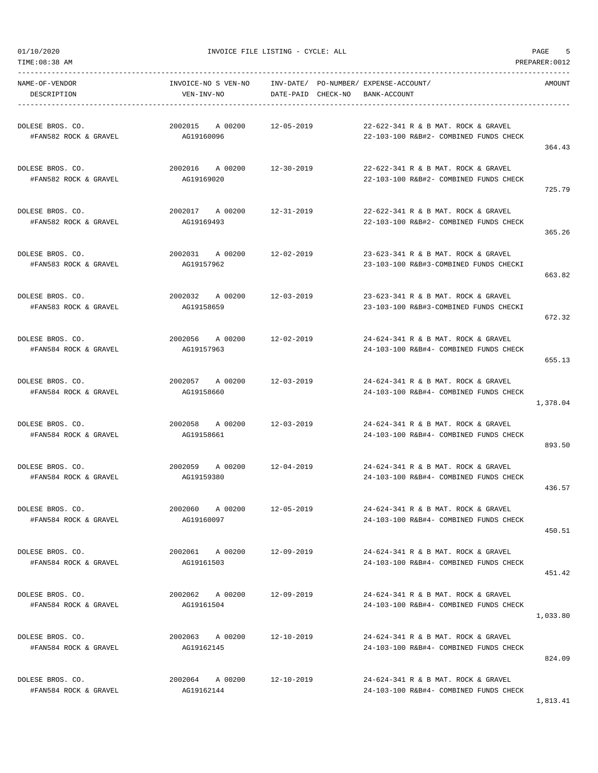TIME:08:38 AM PREPARER:0012

01/10/2020 INVOICE FILE LISTING - CYCLE: ALL PAGE 5

----------------------------------------------------------------------------------------------------------------------------------- NAME-OF-VENDOR INVOICE-NO S VEN-NO INV-DATE/ PO-NUMBER/ EXPENSE-ACCOUNT/ AMOUNT DESCRIPTION VEN-INV-NO DATE-PAID CHECK-NO BANK-ACCOUNT ----------------------------------------------------------------------------------------------------------------------------------- DOLESE BROS. CO. 2002015 A 00200 12-05-2019 22-622-341 R & B MAT. ROCK & GRAVEL #FAN582 ROCK & GRAVEL AG19160096 22-103-100 R&B#2- COMBINED FUNDS CHECK 364.43 DOLESE BROS. CO. 2002016 A 00200 12-30-2019 22-622-341 R & B MAT. ROCK & GRAVEL #FAN582 ROCK & GRAVEL AG19169020 22-103-100 R&B#2- COMBINED FUNDS CHECK 725.79 DOLESE BROS. CO. 2002017 A 00200 12-31-2019 22-622-341 R & B MAT. ROCK & GRAVEL #FAN582 ROCK & GRAVEL AG19169493 22-103-100 R&B#2- COMBINED FUNDS CHECK 365.26 DOLESE BROS. CO. 2002031 A 00200 12-02-2019 23-623-341 R & B MAT. ROCK & GRAVEL #FAN583 ROCK & GRAVEL AG19157962 23-103-100 R&B#3-COMBINED FUNDS CHECKI 663.82 DOLESE BROS. CO. 2002032 A 00200 12-03-2019 23-623-341 R & B MAT. ROCK & GRAVEL #FAN583 ROCK & GRAVEL AG19158659 23-103-100 R&B#3-COMBINED FUNDS CHECKI 672.32 DOLESE BROS. CO. 2002056 A 00200 12-02-2019 24-624-341 R & B MAT. ROCK & GRAVEL #FAN584 ROCK & GRAVEL AG19157963 24-103-100 R&B#4- COMBINED FUNDS CHECK 655.13 DOLESE BROS. CO. 2002057 A 00200 12-03-2019 24-624-341 R & B MAT. ROCK & GRAVEL #FAN584 ROCK & GRAVEL AG19158660 24-103-100 R&B#4- COMBINED FUNDS CHECK 1,378.04 DOLESE BROS. CO. 2002058 A 00200 12-03-2019 24-624-341 R & B MAT. ROCK & GRAVEL #FAN584 ROCK & GRAVEL AG19158661 24-103-100 R&B#4- COMBINED FUNDS CHECK 893.50 DOLESE BROS. CO. 2002059 A 00200 12-04-2019 24-624-341 R & B MAT. ROCK & GRAVEL #FAN584 ROCK & GRAVEL AG19159380 24-103-100 R&B#4- COMBINED FUNDS CHECK 436.57 DOLESE BROS. CO. 2002060 A 00200 12-05-2019 24-624-341 R & B MAT. ROCK & GRAVEL #FAN584 ROCK & GRAVEL AG19160097 24-103-100 R&B#4- COMBINED FUNDS CHECK 450.51 DOLESE BROS. CO. 2002061 A 00200 12-09-2019 24-624-341 R & B MAT. ROCK & GRAVEL #FAN584 ROCK & GRAVEL AG19161503 24-103-100 R&B#4- COMBINED FUNDS CHECK 451.42 DOLESE BROS. CO. 2002062 A 00200 12-09-2019 24-624-341 R & B MAT. ROCK & GRAVEL #FAN584 ROCK & GRAVEL AG19161504 24-103-100 R&B#4- COMBINED FUNDS CHECK 1,033.80 DOLESE BROS. CO. 2002063 A 00200 12-10-2019 24-624-341 R & B MAT. ROCK & GRAVEL #FAN584 ROCK & GRAVEL AG19162145 24-103-100 R&B#4- COMBINED FUNDS CHECK 824.09 DOLESE BROS. CO. 2002064 A 00200 12-10-2019 24-624-341 R & B MAT. ROCK & GRAVEL #FAN584 ROCK & GRAVEL AG19162144 24-103-100 R&B#4- COMBINED FUNDS CHECK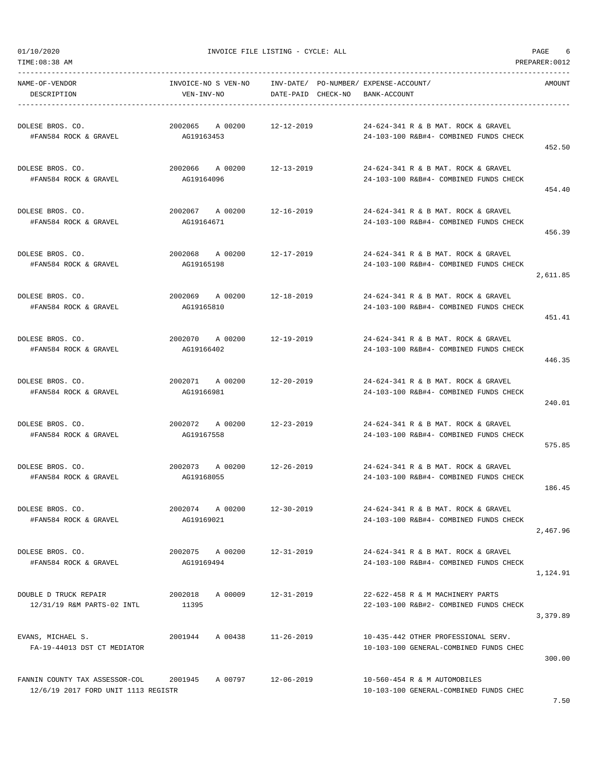TIME:08:38 AM PREPARER:0012

01/10/2020 INVOICE FILE LISTING - CYCLE: ALL PAGE 6

-----------------------------------------------------------------------------------------------------------------------------------

NAME-OF-VENDOR INVOICE-NO S VEN-NO INV-DATE/ PO-NUMBER/ EXPENSE-ACCOUNT/ AMOUNT DESCRIPTION VEN-INV-NO DATE-PAID CHECK-NO BANK-ACCOUNT ----------------------------------------------------------------------------------------------------------------------------------- DOLESE BROS. CO. 2002065 A 00200 12-12-2019 24-624-341 R & B MAT. ROCK & GRAVEL #FAN584 ROCK & GRAVEL AG19163453 24-103-100 R&B#4- COMBINED FUNDS CHECK 452.50 DOLESE BROS. CO. 2002066 A 00200 12-13-2019 24-624-341 R & B MAT. ROCK & GRAVEL #FAN584 ROCK & GRAVEL AG19164096 24-103-100 R&B#4- COMBINED FUNDS CHECK 454.40 DOLESE BROS. CO. 2002067 A 00200 12-16-2019 24-624-341 R & B MAT. ROCK & GRAVEL #FAN584 ROCK & GRAVEL AG19164671 24-103-100 R&B#4- COMBINED FUNDS CHECK 456.39 DOLESE BROS. CO. 2002068 A 00200 12-17-2019 24-624-341 R & B MAT. ROCK & GRAVEL #FAN584 ROCK & GRAVEL AG19165198 24-103-100 R&B#4- COMBINED FUNDS CHECK 2,611.85 DOLESE BROS. CO. 2002069 A 00200 12-18-2019 24-624-341 R & B MAT. ROCK & GRAVEL #FAN584 ROCK & GRAVEL AG19165810 24-103-100 R&B#4- COMBINED FUNDS CHECK 451.41 DOLESE BROS. CO. 2002070 A 00200 12-19-2019 24-624-341 R & B MAT. ROCK & GRAVEL #FAN584 ROCK & GRAVEL AG19166402 24-103-100 R&B#4- COMBINED FUNDS CHECK 446.35 DOLESE BROS. CO. 2002071 A 00200 12-20-2019 24-624-341 R & B MAT. ROCK & GRAVEL #FAN584 ROCK & GRAVEL AG19166981 24-103-100 R&B#4- COMBINED FUNDS CHECK 240.01 DOLESE BROS. CO. 2002072 A 00200 12-23-2019 24-624-341 R & B MAT. ROCK & GRAVEL #FAN584 ROCK & GRAVEL AG19167558 24-103-100 R&B#4- COMBINED FUNDS CHECK 575.85 DOLESE BROS. CO. 2002073 A 00200 12-26-2019 24-624-341 R & B MAT. ROCK & GRAVEL #FAN584 ROCK & GRAVEL AG19168055 24-103-100 R&B#4- COMBINED FUNDS CHECK 186.45 DOLESE BROS. CO. 2002074 A 00200 12-30-2019 24-624-341 R & B MAT. ROCK & GRAVEL #FAN584 ROCK & GRAVEL AG19169021 24-103-100 R&B#4- COMBINED FUNDS CHECK 2,467.96 DOLESE BROS. CO. 2002075 A 00200 12-31-2019 24-624-341 R & B MAT. ROCK & GRAVEL #FAN584 ROCK & GRAVEL AG19169494 24-103-100 R&B#4- COMBINED FUNDS CHECK 1,124.91 DOUBLE D TRUCK REPAIR 2002018 A 00009 12-31-2019 22-622-458 R & M MACHINERY PARTS 12/31/19 R&M PARTS-02 INTL 11395 22-103-100 R&B#2- COMBINED FUNDS CHECK 3,379.89 EVANS, MICHAEL S. 2001944 A 00438 11-26-2019 10-435-442 OTHER PROFESSIONAL SERV. FA-19-44013 DST CT MEDIATOR 10-103-100 GENERAL-COMBINED FUNDS CHEC 300.00 FANNIN COUNTY TAX ASSESSOR-COL 2001945 A 00797 12-06-2019 10-560-454 R & M AUTOMOBILES 12/6/19 2017 FORD UNIT 1113 REGISTR 10-103-100 GENERAL-COMBINED FUNDS CHEC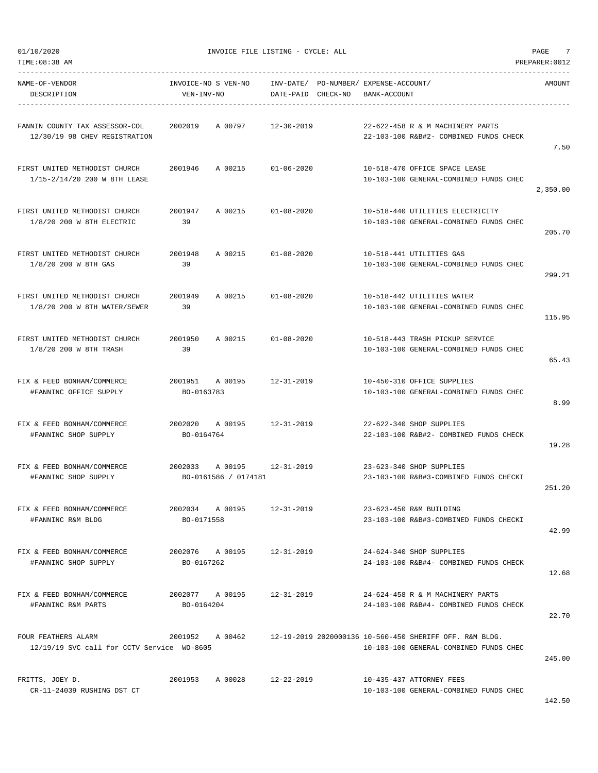|  | 01/10/2020 |  |
|--|------------|--|
|  |            |  |
|  |            |  |

| NAME-OF-VENDOR<br>DESCRIPTION                                     | INVOICE-NO S VEN-NO     INV-DATE/ PO-NUMBER/ EXPENSE-ACCOUNT/<br>VEN-INV-NO | DATE-PAID CHECK-NO | BANK-ACCOUNT                                                                                      | AMOUNT   |
|-------------------------------------------------------------------|-----------------------------------------------------------------------------|--------------------|---------------------------------------------------------------------------------------------------|----------|
| FANNIN COUNTY TAX ASSESSOR-COL<br>12/30/19 98 CHEV REGISTRATION   | 2002019<br>A 00797                                                          | 12-30-2019         | 22-622-458 R & M MACHINERY PARTS<br>22-103-100 R&B#2- COMBINED FUNDS CHECK                        | 7.50     |
| FIRST UNITED METHODIST CHURCH<br>1/15-2/14/20 200 W 8TH LEASE     | 2001946 A 00215 01-06-2020                                                  |                    | 10-518-470 OFFICE SPACE LEASE<br>10-103-100 GENERAL-COMBINED FUNDS CHEC                           | 2,350.00 |
| FIRST UNITED METHODIST CHURCH<br>1/8/20 200 W 8TH ELECTRIC        | 2001947<br>A 00215 01-08-2020<br>39                                         |                    | 10-518-440 UTILITIES ELECTRICITY<br>10-103-100 GENERAL-COMBINED FUNDS CHEC                        | 205.70   |
| FIRST UNITED METHODIST CHURCH<br>1/8/20 200 W 8TH GAS             | 2001948<br>A 00215 01-08-2020<br>39                                         |                    | 10-518-441 UTILITIES GAS<br>10-103-100 GENERAL-COMBINED FUNDS CHEC                                | 299.21   |
| FIRST UNITED METHODIST CHURCH<br>1/8/20 200 W 8TH WATER/SEWER     | 2001949<br>A 00215 01-08-2020<br>39                                         |                    | 10-518-442 UTILITIES WATER<br>10-103-100 GENERAL-COMBINED FUNDS CHEC                              | 115.95   |
| FIRST UNITED METHODIST CHURCH<br>1/8/20 200 W 8TH TRASH           | 2001950<br>A 00215 01-08-2020<br>39                                         |                    | 10-518-443 TRASH PICKUP SERVICE<br>10-103-100 GENERAL-COMBINED FUNDS CHEC                         | 65.43    |
| FIX & FEED BONHAM/COMMERCE<br>#FANNINC OFFICE SUPPLY              | 2001951 A 00195 12-31-2019<br>BO-0163783                                    |                    | 10-450-310 OFFICE SUPPLIES<br>10-103-100 GENERAL-COMBINED FUNDS CHEC                              | 8.99     |
| FIX & FEED BONHAM/COMMERCE<br>#FANNINC SHOP SUPPLY                | 2002020 A 00195 12-31-2019<br>BO-0164764                                    |                    | 22-622-340 SHOP SUPPLIES<br>22-103-100 R&B#2- COMBINED FUNDS CHECK                                | 19.28    |
| FIX & FEED BONHAM/COMMERCE<br>#FANNINC SHOP SUPPLY                | 2002033 A 00195 12-31-2019<br>BO-0161586 / 0174181                          |                    | 23-623-340 SHOP SUPPLIES<br>23-103-100 R&B#3-COMBINED FUNDS CHECKI                                | 251.20   |
| FIX & FEED BONHAM/COMMERCE<br>#FANNINC R&M BLDG                   | 2002034 A 00195<br>BO-0171558                                               | $12 - 31 - 2019$   | 23-623-450 R&M BUILDING<br>23-103-100 R&B#3-COMBINED FUNDS CHECKI                                 | 42.99    |
| FIX & FEED BONHAM/COMMERCE<br>#FANNINC SHOP SUPPLY                | 2002076 A 00195 12-31-2019<br>BO-0167262                                    |                    | 24-624-340 SHOP SUPPLIES<br>24-103-100 R&B#4- COMBINED FUNDS CHECK                                | 12.68    |
| FIX & FEED BONHAM/COMMERCE<br>#FANNINC R&M PARTS                  | 2002077 A 00195<br>BO-0164204                                               | 12-31-2019         | 24-624-458 R & M MACHINERY PARTS<br>24-103-100 R&B#4- COMBINED FUNDS CHECK                        | 22.70    |
| FOUR FEATHERS ALARM<br>12/19/19 SVC call for CCTV Service WO-8605 | 2001952 A 00462                                                             |                    | 12-19-2019 2020000136 10-560-450 SHERIFF OFF. R&M BLDG.<br>10-103-100 GENERAL-COMBINED FUNDS CHEC | 245.00   |
| FRITTS, JOEY D.<br>CR-11-24039 RUSHING DST CT                     | 2001953<br>A 00028 12-22-2019                                               |                    | 10-435-437 ATTORNEY FEES<br>10-103-100 GENERAL-COMBINED FUNDS CHEC                                |          |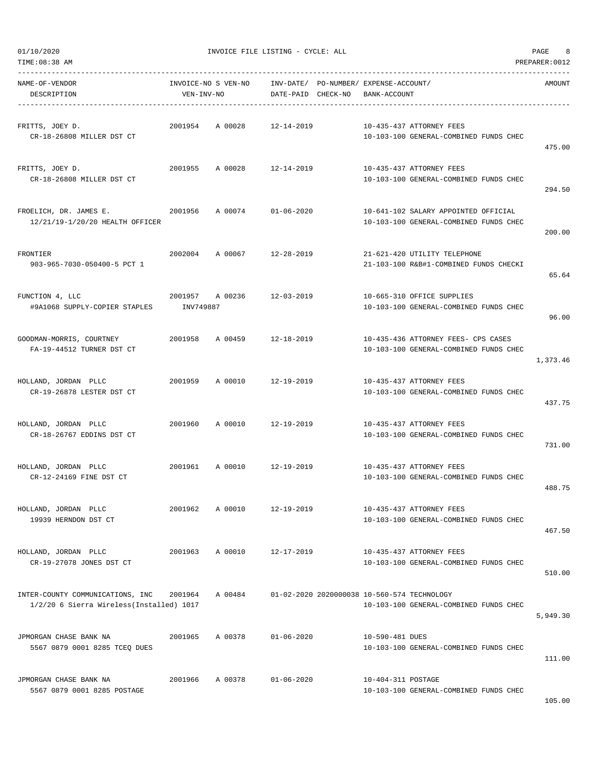| NAME-OF-VENDOR<br>DESCRIPTION                                                | INVOICE-NO S VEN-NO<br>VEN-INV-NO |                 | INV-DATE/ PO-NUMBER/ EXPENSE-ACCOUNT/<br>DATE-PAID CHECK-NO | BANK-ACCOUNT       |                                                                                       | AMOUNT   |
|------------------------------------------------------------------------------|-----------------------------------|-----------------|-------------------------------------------------------------|--------------------|---------------------------------------------------------------------------------------|----------|
| FRITTS, JOEY D.<br>CR-18-26808 MILLER DST CT                                 | 2001954                           | A 00028         | 12-14-2019                                                  |                    | 10-435-437 ATTORNEY FEES<br>10-103-100 GENERAL-COMBINED FUNDS CHEC                    | 475.00   |
| FRITTS, JOEY D.<br>CR-18-26808 MILLER DST CT                                 | 2001955                           |                 | A 00028 12-14-2019                                          |                    | 10-435-437 ATTORNEY FEES<br>10-103-100 GENERAL-COMBINED FUNDS CHEC                    | 294.50   |
| FROELICH, DR. JAMES E.<br>2001956<br>12/21/19-1/20/20 HEALTH OFFICER         |                                   |                 | A 00074 01-06-2020                                          |                    | 10-641-102 SALARY APPOINTED OFFICIAL<br>10-103-100 GENERAL-COMBINED FUNDS CHEC        | 200.00   |
| FRONTIER<br>903-965-7030-050400-5 PCT 1                                      |                                   | 2002004 A 00067 | 12-28-2019                                                  |                    | 21-621-420 UTILITY TELEPHONE<br>21-103-100 R&B#1-COMBINED FUNDS CHECKI                | 65.64    |
| FUNCTION 4, LLC<br>#9A1068 SUPPLY-COPIER STAPLES                             | INV749887                         | 2001957 A 00236 | 12-03-2019                                                  |                    | 10-665-310 OFFICE SUPPLIES<br>10-103-100 GENERAL-COMBINED FUNDS CHEC                  | 96.00    |
| GOODMAN-MORRIS, COURTNEY<br>FA-19-44512 TURNER DST CT                        | 2001958                           |                 | A 00459 12-18-2019                                          |                    | 10-435-436 ATTORNEY FEES- CPS CASES<br>10-103-100 GENERAL-COMBINED FUNDS CHEC         | 1,373.46 |
| HOLLAND, JORDAN PLLC<br>CR-19-26878 LESTER DST CT                            | 2001959                           |                 | A 00010 12-19-2019                                          |                    | 10-435-437 ATTORNEY FEES<br>10-103-100 GENERAL-COMBINED FUNDS CHEC                    | 437.75   |
| HOLLAND, JORDAN PLLC<br>CR-18-26767 EDDINS DST CT                            |                                   | 2001960 A 00010 | 12-19-2019                                                  |                    | 10-435-437 ATTORNEY FEES<br>10-103-100 GENERAL-COMBINED FUNDS CHEC                    | 731.00   |
| HOLLAND, JORDAN PLLC<br>CR-12-24169 FINE DST CT                              | 2001961 A 00010                   |                 | 12-19-2019                                                  |                    | 10-435-437 ATTORNEY FEES<br>10-103-100 GENERAL-COMBINED FUNDS CHEC                    | 488.75   |
| HOLLAND, JORDAN PLLC<br>19939 HERNDON DST CT                                 | 2001962                           | A 00010         | $12 - 19 - 2019$                                            |                    | 10-435-437 ATTORNEY FEES<br>10-103-100 GENERAL-COMBINED FUNDS CHEC                    | 467.50   |
| HOLLAND, JORDAN PLLC<br>CR-19-27078 JONES DST CT                             | 2001963                           | A 00010         | 12-17-2019                                                  |                    | 10-435-437 ATTORNEY FEES<br>10-103-100 GENERAL-COMBINED FUNDS CHEC                    | 510.00   |
| INTER-COUNTY COMMUNICATIONS, INC<br>1/2/20 6 Sierra Wireless(Installed) 1017 | 2001964                           | A 00484         |                                                             |                    | 01-02-2020 2020000038 10-560-574 TECHNOLOGY<br>10-103-100 GENERAL-COMBINED FUNDS CHEC | 5,949.30 |
| JPMORGAN CHASE BANK NA<br>5567 0879 0001 8285 TCEQ DUES                      | 2001965                           | A 00378         | $01 - 06 - 2020$                                            | 10-590-481 DUES    | 10-103-100 GENERAL-COMBINED FUNDS CHEC                                                | 111.00   |
| JPMORGAN CHASE BANK NA<br>5567 0879 0001 8285 POSTAGE                        | 2001966                           | A 00378         | $01 - 06 - 2020$                                            | 10-404-311 POSTAGE | 10-103-100 GENERAL-COMBINED FUNDS CHEC                                                |          |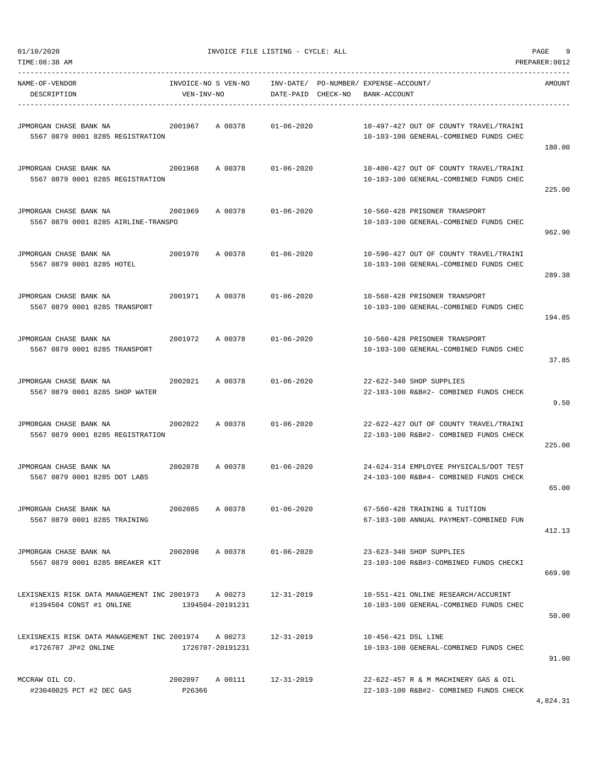| 01/10/2020<br>TIME:08:38 AM                                                                | INVOICE FILE LISTING - CYCLE: ALL |                 | PAGE<br>9<br>PREPARER: 0012 |                                                       |                                                                                  |        |
|--------------------------------------------------------------------------------------------|-----------------------------------|-----------------|-----------------------------|-------------------------------------------------------|----------------------------------------------------------------------------------|--------|
| NAME-OF-VENDOR<br>DESCRIPTION                                                              | INVOICE-NO S VEN-NO<br>VEN-INV-NO |                 | DATE-PAID CHECK-NO          | INV-DATE/ PO-NUMBER/ EXPENSE-ACCOUNT/<br>BANK-ACCOUNT |                                                                                  | AMOUNT |
| JPMORGAN CHASE BANK NA<br>5567 0879 0001 8285 REGISTRATION                                 | 2001967                           | A 00378         | $01 - 06 - 2020$            |                                                       | 10-497-427 OUT OF COUNTY TRAVEL/TRAINI<br>10-103-100 GENERAL-COMBINED FUNDS CHEC | 180.00 |
| JPMORGAN CHASE BANK NA<br>5567 0879 0001 8285 REGISTRATION                                 | 2001968                           | A 00378         | $01 - 06 - 2020$            |                                                       | 10-400-427 OUT OF COUNTY TRAVEL/TRAINI<br>10-103-100 GENERAL-COMBINED FUNDS CHEC | 225.00 |
| JPMORGAN CHASE BANK NA<br>5567 0879 0001 8285 AIRLINE-TRANSPO                              | 2001969                           | A 00378         | $01 - 06 - 2020$            |                                                       | 10-560-428 PRISONER TRANSPORT<br>10-103-100 GENERAL-COMBINED FUNDS CHEC          | 962.90 |
| JPMORGAN CHASE BANK NA<br>5567 0879 0001 8285 HOTEL                                        | 2001970                           | A 00378         | $01 - 06 - 2020$            |                                                       | 10-590-427 OUT OF COUNTY TRAVEL/TRAINI<br>10-103-100 GENERAL-COMBINED FUNDS CHEC | 289.38 |
| JPMORGAN CHASE BANK NA<br>5567 0879 0001 8285 TRANSPORT                                    | 2001971                           | A 00378         | $01 - 06 - 2020$            |                                                       | 10-560-428 PRISONER TRANSPORT<br>10-103-100 GENERAL-COMBINED FUNDS CHEC          | 194.85 |
| JPMORGAN CHASE BANK NA<br>5567 0879 0001 8285 TRANSPORT                                    | 2001972                           | A 00378         | $01 - 06 - 2020$            |                                                       | 10-560-428 PRISONER TRANSPORT<br>10-103-100 GENERAL-COMBINED FUNDS CHEC          | 37.85  |
| JPMORGAN CHASE BANK NA<br>5567 0879 0001 8285 SHOP WATER                                   | 2002021                           | A 00378         | $01 - 06 - 2020$            |                                                       | 22-622-340 SHOP SUPPLIES<br>22-103-100 R&B#2- COMBINED FUNDS CHECK               | 9.50   |
| JPMORGAN CHASE BANK NA<br>5567 0879 0001 8285 REGISTRATION                                 | 2002022                           | A 00378         | $01 - 06 - 2020$            |                                                       | 22-622-427 OUT OF COUNTY TRAVEL/TRAINI<br>22-103-100 R&B#2- COMBINED FUNDS CHECK | 225.00 |
| JPMORGAN CHASE BANK NA<br>5567 0879 0001 8285 DOT LABS                                     | 2002078                           | A 00378         | $01 - 06 - 2020$            |                                                       | 24-624-314 EMPLOYEE PHYSICALS/DOT TEST<br>24-103-100 R&B#4- COMBINED FUNDS CHECK | 65.00  |
| JPMORGAN CHASE BANK NA<br>5567 0879 0001 8285 TRAINING                                     | 2002085 A 00378                   |                 | 01-06-2020                  |                                                       | 67-560-428 TRAINING & TUITION<br>67-103-100 ANNUAL PAYMENT-COMBINED FUN          | 412.13 |
| JPMORGAN CHASE BANK NA<br>5567 0879 0001 8285 BREAKER KIT                                  | 2002098                           | A 00378         | 01-06-2020                  |                                                       | 23-623-340 SHOP SUPPLIES<br>23-103-100 R&B#3-COMBINED FUNDS CHECKI               | 669.98 |
| LEXISNEXIS RISK DATA MANAGEMENT INC 2001973 A 00273 12-31-2019<br>#1394504 CONST #1 ONLINE | 1394504-20191231                  |                 |                             |                                                       | 10-551-421 ONLINE RESEARCH/ACCURINT<br>10-103-100 GENERAL-COMBINED FUNDS CHEC    | 50.00  |
| LEXISNEXIS RISK DATA MANAGEMENT INC 2001974 A 00273<br>#1726707 JP#2 ONLINE                | 1726707-20191231                  |                 | 12-31-2019                  | 10-456-421 DSL LINE                                   | 10-103-100 GENERAL-COMBINED FUNDS CHEC                                           | 91.00  |
| MCCRAW OIL CO.<br>#23040025 PCT #2 DEC GAS                                                 | P26366                            | 2002097 A 00111 | 12-31-2019                  |                                                       | 22-622-457 R & M MACHINERY GAS & OIL<br>22-103-100 R&B#2- COMBINED FUNDS CHECK   |        |

4,824.31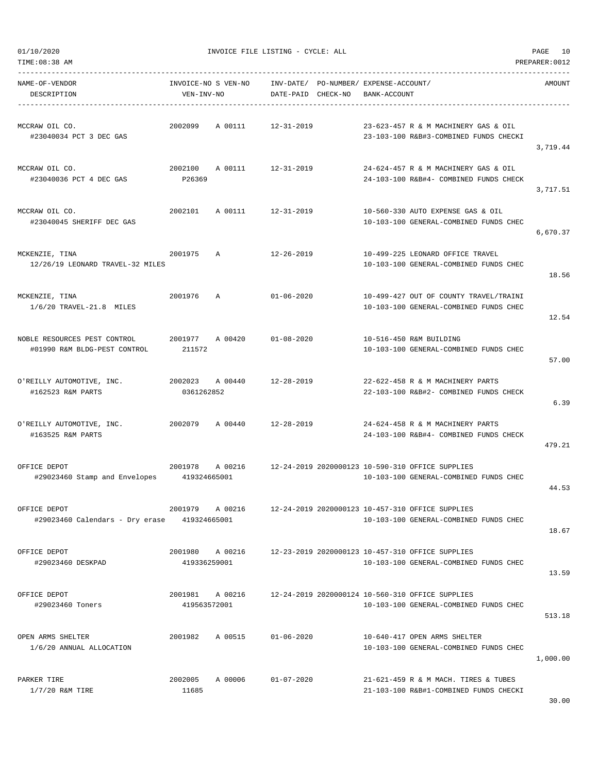| NAME-OF-VENDOR<br>DESCRIPTION                                | VEN-INV-NO              | INVOICE-NO S VEN-NO    INV-DATE/ PO-NUMBER/ EXPENSE-ACCOUNT/ | DATE-PAID CHECK-NO BANK-ACCOUNT |  |                                                                                                            | AMOUNT   |
|--------------------------------------------------------------|-------------------------|--------------------------------------------------------------|---------------------------------|--|------------------------------------------------------------------------------------------------------------|----------|
| MCCRAW OIL CO.<br>#23040034 PCT 3 DEC GAS                    |                         | 2002099 A 00111 12-31-2019                                   |                                 |  | 23-623-457 R & M MACHINERY GAS & OIL<br>23-103-100 R&B#3-COMBINED FUNDS CHECKI                             | 3,719.44 |
| MCCRAW OIL CO.<br>#23040036 PCT 4 DEC GAS                    | P26369                  | 2002100 A 00111 12-31-2019                                   |                                 |  | 24-624-457 R & M MACHINERY GAS & OIL<br>24-103-100 R&B#4- COMBINED FUNDS CHECK                             | 3,717.51 |
| MCCRAW OIL CO.<br>#23040045 SHERIFF DEC GAS                  |                         | 2002101 A 00111 12-31-2019                                   |                                 |  | 10-560-330 AUTO EXPENSE GAS & OIL<br>10-103-100 GENERAL-COMBINED FUNDS CHEC                                | 6,670.37 |
| MCKENZIE, TINA<br>12/26/19 LEONARD TRAVEL-32 MILES           | 2001975 A               |                                                              | 12-26-2019                      |  | 10-499-225 LEONARD OFFICE TRAVEL<br>10-103-100 GENERAL-COMBINED FUNDS CHEC                                 | 18.56    |
| MCKENZIE, TINA<br>$1/6/20$ TRAVEL-21.8 MILES                 | 2001976 A               |                                                              | $01 - 06 - 2020$                |  | 10-499-427 OUT OF COUNTY TRAVEL/TRAINI<br>10-103-100 GENERAL-COMBINED FUNDS CHEC                           | 12.54    |
| NOBLE RESOURCES PEST CONTROL<br>#01990 R&M BLDG-PEST CONTROL | 211572                  | 2001977 A 00420 01-08-2020                                   |                                 |  | 10-516-450 R&M BUILDING<br>10-103-100 GENERAL-COMBINED FUNDS CHEC                                          | 57.00    |
| O'REILLY AUTOMOTIVE, INC.<br>#162523 R&M PARTS               | 0361262852              | 2002023 A 00440 12-28-2019                                   |                                 |  | 22-622-458 R & M MACHINERY PARTS<br>22-103-100 R&B#2- COMBINED FUNDS CHECK                                 | 6.39     |
| O'REILLY AUTOMOTIVE, INC.<br>#163525 R&M PARTS               |                         | 2002079 A 00440 12-28-2019                                   |                                 |  | 24-624-458 R & M MACHINERY PARTS<br>24-103-100 R&B#4- COMBINED FUNDS CHECK                                 | 479.21   |
| OFFICE DEPOT<br>#29023460 Stamp and Envelopes 419324665001   |                         |                                                              |                                 |  | 2001978 A 00216 12-24-2019 2020000123 10-590-310 OFFICE SUPPLIES<br>10-103-100 GENERAL-COMBINED FUNDS CHEC | 44.53    |
| OFFICE DEPOT<br>#29023460 Calendars - Dry erase              | 2001979<br>419324665001 | A 00216                                                      |                                 |  | 12-24-2019 2020000123 10-457-310 OFFICE SUPPLIES<br>10-103-100 GENERAL-COMBINED FUNDS CHEC                 | 18.67    |
| OFFICE DEPOT<br>#29023460 DESKPAD                            | 2001980<br>419336259001 | A 00216                                                      |                                 |  | 12-23-2019 2020000123 10-457-310 OFFICE SUPPLIES<br>10-103-100 GENERAL-COMBINED FUNDS CHEC                 | 13.59    |
| OFFICE DEPOT<br>#29023460 Toners                             | 419563572001            | 2001981 A 00216                                              |                                 |  | 12-24-2019 2020000124 10-560-310 OFFICE SUPPLIES<br>10-103-100 GENERAL-COMBINED FUNDS CHEC                 | 513.18   |
| OPEN ARMS SHELTER<br>1/6/20 ANNUAL ALLOCATION                | 2001982                 | A 00515                                                      | $01 - 06 - 2020$                |  | 10-640-417 OPEN ARMS SHELTER<br>10-103-100 GENERAL-COMBINED FUNDS CHEC                                     | 1,000.00 |
| PARKER TIRE<br>$1/7/20$ R&M TIRE                             | 2002005<br>11685        | A 00006                                                      | $01 - 07 - 2020$                |  | 21-621-459 R & M MACH. TIRES & TUBES<br>21-103-100 R&B#1-COMBINED FUNDS CHECKI                             | 30.00    |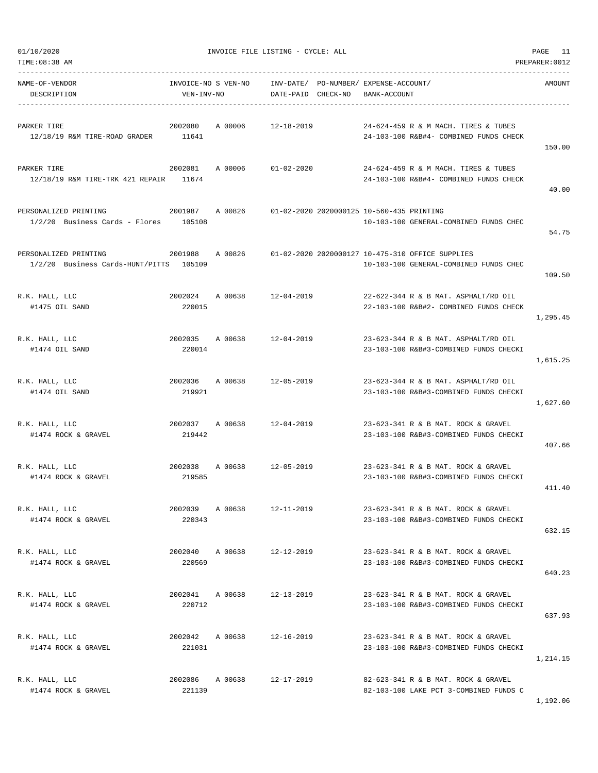| TIME: 08:38 AM                                                              |                                   |         |                                                             |              |                                                                                            | PREPARER: 0012 |
|-----------------------------------------------------------------------------|-----------------------------------|---------|-------------------------------------------------------------|--------------|--------------------------------------------------------------------------------------------|----------------|
| NAME-OF-VENDOR<br>DESCRIPTION                                               | INVOICE-NO S VEN-NO<br>VEN-INV-NO |         | INV-DATE/ PO-NUMBER/ EXPENSE-ACCOUNT/<br>DATE-PAID CHECK-NO | BANK-ACCOUNT |                                                                                            | AMOUNT         |
| PARKER TIRE<br>12/18/19 R&M TIRE-ROAD GRADER                                | 2002080<br>11641                  | A 00006 | 12-18-2019                                                  |              | 24-624-459 R & M MACH. TIRES & TUBES<br>24-103-100 R&B#4- COMBINED FUNDS CHECK             | 150.00         |
| PARKER TIRE<br>12/18/19 R&M TIRE-TRK 421 REPAIR 11674                       |                                   |         | 2002081 A 00006 01-02-2020                                  |              | 24-624-459 R & M MACH. TIRES & TUBES<br>24-103-100 R&B#4- COMBINED FUNDS CHECK             | 40.00          |
| PERSONALIZED PRINTING<br>2001987<br>$1/2/20$ Business Cards - Flores 105108 |                                   | A 00826 | 01-02-2020 2020000125 10-560-435 PRINTING                   |              | 10-103-100 GENERAL-COMBINED FUNDS CHEC                                                     | 54.75          |
| PERSONALIZED PRINTING<br>1/2/20 Business Cards-HUNT/PITTS 105109            | 2001988                           | A 00826 |                                                             |              | 01-02-2020 2020000127 10-475-310 OFFICE SUPPLIES<br>10-103-100 GENERAL-COMBINED FUNDS CHEC | 109.50         |
| R.K. HALL, LLC<br>#1475 OIL SAND                                            | 220015                            |         | 2002024 A 00638 12-04-2019                                  |              | 22-622-344 R & B MAT. ASPHALT/RD OIL<br>22-103-100 R&B#2- COMBINED FUNDS CHECK             | 1,295.45       |
| R.K. HALL, LLC<br>#1474 OIL SAND                                            | 220014                            |         | 2002035 A 00638 12-04-2019                                  |              | 23-623-344 R & B MAT. ASPHALT/RD OIL<br>23-103-100 R&B#3-COMBINED FUNDS CHECKI             | 1,615.25       |
| R.K. HALL, LLC<br>#1474 OIL SAND                                            | 2002036<br>219921                 |         | A 00638 12-05-2019                                          |              | 23-623-344 R & B MAT. ASPHALT/RD OIL<br>23-103-100 R&B#3-COMBINED FUNDS CHECKI             | 1,627.60       |
| R.K. HALL, LLC<br>#1474 ROCK & GRAVEL                                       | 2002037 A 00638<br>219442         |         | 12-04-2019                                                  |              | 23-623-341 R & B MAT. ROCK & GRAVEL<br>23-103-100 R&B#3-COMBINED FUNDS CHECKI              | 407.66         |
| R.K. HALL, LLC<br>#1474 ROCK & GRAVEL                                       | 2002038<br>219585                 |         | A 00638 12-05-2019                                          |              | 23-623-341 R & B MAT. ROCK & GRAVEL<br>23-103-100 R&B#3-COMBINED FUNDS CHECKI              | 411.40         |
| R.K. HALL, LLC<br>#1474 ROCK & GRAVEL                                       | 2002039<br>220343                 | A 00638 | $12 - 11 - 2019$                                            |              | 23-623-341 R & B MAT, ROCK & GRAVEL<br>23-103-100 R&B#3-COMBINED FUNDS CHECKI              | 632.15         |
| R.K. HALL, LLC<br>#1474 ROCK & GRAVEL                                       | 2002040<br>220569                 | A 00638 | $12 - 12 - 2019$                                            |              | 23-623-341 R & B MAT. ROCK & GRAVEL<br>23-103-100 R&B#3-COMBINED FUNDS CHECKI              | 640.23         |
| R.K. HALL, LLC<br>#1474 ROCK & GRAVEL                                       | 2002041 A 00638<br>220712         |         | 12-13-2019                                                  |              | 23-623-341 R & B MAT. ROCK & GRAVEL<br>23-103-100 R&B#3-COMBINED FUNDS CHECKI              | 637.93         |
| R.K. HALL, LLC<br>#1474 ROCK & GRAVEL                                       | 2002042<br>221031                 | A 00638 | $12 - 16 - 2019$                                            |              | 23-623-341 R & B MAT. ROCK & GRAVEL<br>23-103-100 R&B#3-COMBINED FUNDS CHECKI              | 1,214.15       |
| R.K. HALL, LLC<br>#1474 ROCK & GRAVEL                                       | 2002086<br>221139                 |         | A 00638 12-17-2019                                          |              | 82-623-341 R & B MAT. ROCK & GRAVEL<br>82-103-100 LAKE PCT 3-COMBINED FUNDS C              | 1,192.06       |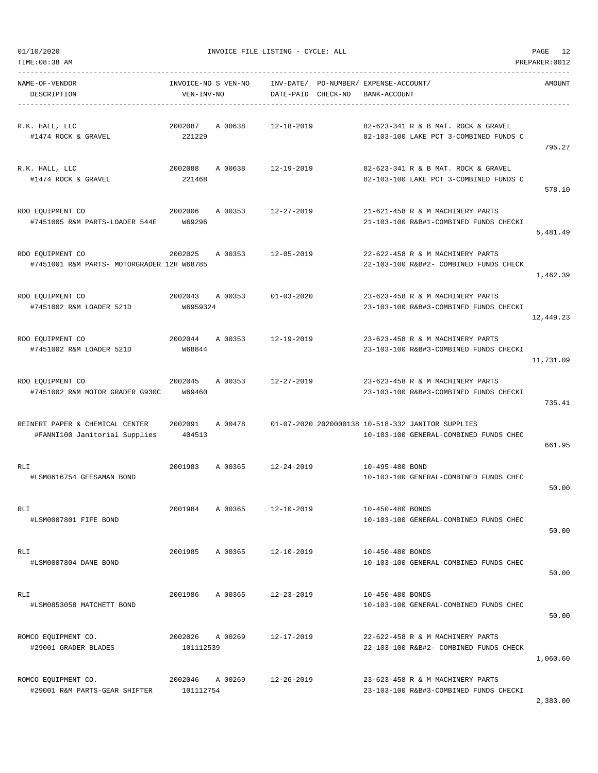| NAME-OF-VENDOR<br>DESCRIPTION                                         | INVOICE-NO S VEN-NO<br>VEN-INV-NO    |                            | INV-DATE/ PO-NUMBER/ EXPENSE-ACCOUNT/<br>DATE-PAID CHECK-NO | BANK-ACCOUNT     |                                                                                             | AMOUNT    |
|-----------------------------------------------------------------------|--------------------------------------|----------------------------|-------------------------------------------------------------|------------------|---------------------------------------------------------------------------------------------|-----------|
| R.K. HALL, LLC<br>#1474 ROCK & GRAVEL                                 | 221229                               | 2002087 A 00638 12-18-2019 |                                                             |                  | 82-623-341 R & B MAT. ROCK & GRAVEL<br>82-103-100 LAKE PCT 3-COMBINED FUNDS C               | 795.27    |
| R.K. HALL, LLC<br>#1474 ROCK & GRAVEL                                 | 221468                               | 2002088 A 00638 12-19-2019 |                                                             |                  | 82-623-341 R & B MAT. ROCK & GRAVEL<br>82-103-100 LAKE PCT 3-COMBINED FUNDS C               | 578.10    |
| RDO EQUIPMENT CO<br>2002006<br>#7451005 R&M PARTS-LOADER 544E W69296  |                                      | A 00353 12-27-2019         |                                                             |                  | 21-621-458 R & M MACHINERY PARTS<br>21-103-100 R&B#1-COMBINED FUNDS CHECKI                  | 5,481.49  |
| RDO EQUIPMENT CO<br>#7451001 R&M PARTS- MOTORGRADER 12H W68785        | 2002025                              | A 00353 12-05-2019         |                                                             |                  | 22-622-458 R & M MACHINERY PARTS<br>22-103-100 R&B#2- COMBINED FUNDS CHECK                  | 1,462.39  |
| RDO EQUIPMENT CO<br>#7451002 R&M LOADER 521D                          | W6959324                             | 2002043 A 00353 01-03-2020 |                                                             |                  | 23-623-458 R & M MACHINERY PARTS<br>23-103-100 R&B#3-COMBINED FUNDS CHECKI                  | 12,449.23 |
| RDO EQUIPMENT CO<br>#7451002 R&M LOADER 521D                          | 2002044 A 00353 12-19-2019<br>W68844 |                            |                                                             |                  | 23-623-458 R & M MACHINERY PARTS<br>23-103-100 R&B#3-COMBINED FUNDS CHECKI                  | 11,731.09 |
| 2002045<br>RDO EQUIPMENT CO<br>#7451002 R&M MOTOR GRADER G930C W69460 |                                      | A 00353 12-27-2019         |                                                             |                  | 23-623-458 R & M MACHINERY PARTS<br>23-103-100 R&B#3-COMBINED FUNDS CHECKI                  | 735.41    |
| REINERT PAPER & CHEMICAL CENTER<br>#FANNI100 Janitorial Supplies      | 2002091 A 00478<br>404513            |                            |                                                             |                  | 01-07-2020 2020000138 10-518-332 JANITOR SUPPLIES<br>10-103-100 GENERAL-COMBINED FUNDS CHEC | 661.95    |
| RLI<br>#LSM0616754 GEESAMAN BOND                                      |                                      | 2001983 A 00365 12-24-2019 |                                                             | 10-495-480 BOND  | 10-103-100 GENERAL-COMBINED FUNDS CHEC                                                      | 50.00     |
| RLI<br>#LSM0007801 FIFE BOND                                          | 2001984                              | A 00365                    | $12 - 10 - 2019$                                            | 10-450-480 BONDS | 10-103-100 GENERAL-COMBINED FUNDS CHEC                                                      | 50.00     |
| RLI<br>#LSM0007804 DANE BOND                                          | 2001985                              | A 00365                    | $12 - 10 - 2019$                                            | 10-450-480 BONDS | 10-103-100 GENERAL-COMBINED FUNDS CHEC                                                      | 50.00     |
| RLI<br>#LSM0853058 MATCHETT BOND                                      | 2001986                              | A 00365                    | $12 - 23 - 2019$                                            | 10-450-480 BONDS | 10-103-100 GENERAL-COMBINED FUNDS CHEC                                                      | 50.00     |
| ROMCO EQUIPMENT CO.<br>#29001 GRADER BLADES                           | 2002026<br>101112539                 | A 00269                    | $12 - 17 - 2019$                                            |                  | 22-622-458 R & M MACHINERY PARTS<br>22-103-100 R&B#2- COMBINED FUNDS CHECK                  | 1,060.60  |
| ROMCO EQUIPMENT CO.<br>#29001 R&M PARTS-GEAR SHIFTER                  | 2002046<br>101112754                 | A 00269                    | $12 - 26 - 2019$                                            |                  | 23-623-458 R & M MACHINERY PARTS<br>23-103-100 R&B#3-COMBINED FUNDS CHECKI                  | 2,383.00  |

TIME:08:38 AM PREPARER:0012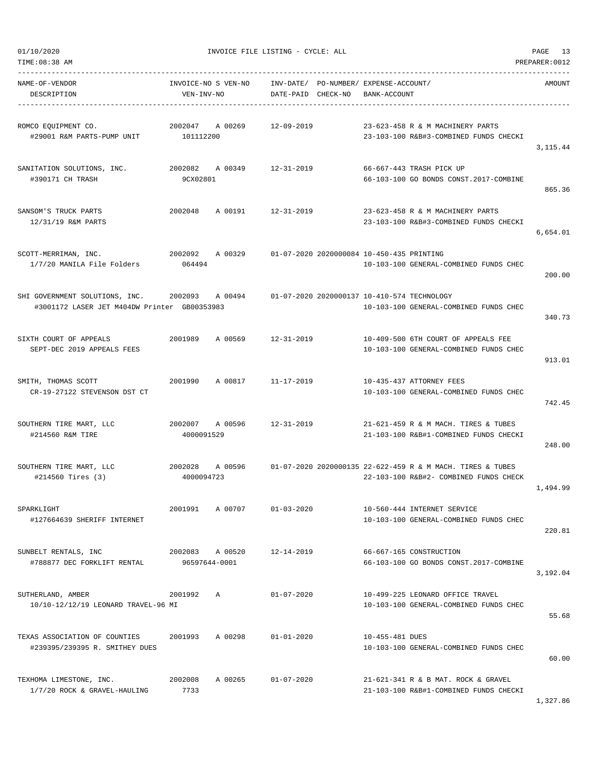| NAME-OF-VENDOR<br>DESCRIPTION                                                                                                              | VEN-INV-NO      |                 | INVOICE-NO S VEN-NO    INV-DATE/ PO-NUMBER/ EXPENSE-ACCOUNT/<br>DATE-PAID CHECK-NO | BANK-ACCOUNT    |                                                                                                                      | AMOUNT    |
|--------------------------------------------------------------------------------------------------------------------------------------------|-----------------|-----------------|------------------------------------------------------------------------------------|-----------------|----------------------------------------------------------------------------------------------------------------------|-----------|
| ROMCO EOUIPMENT CO.<br>#29001 R&M PARTS-PUMP UNIT 101112200                                                                                |                 | 2002047 A 00269 | 12-09-2019                                                                         |                 | 23-623-458 R & M MACHINERY PARTS<br>23-103-100 R&B#3-COMBINED FUNDS CHECKI                                           | 3, 115.44 |
| SANITATION SOLUTIONS, INC.<br>#390171 CH TRASH                                                                                             | 9CX02801        |                 | 2002082 A 00349 12-31-2019                                                         |                 | 66-667-443 TRASH PICK UP<br>66-103-100 GO BONDS CONST.2017-COMBINE                                                   | 865.36    |
| SANSOM'S TRUCK PARTS<br>12/31/19 R&M PARTS                                                                                                 |                 |                 | 2002048 A 00191 12-31-2019                                                         |                 | 23-623-458 R & M MACHINERY PARTS<br>23-103-100 R&B#3-COMBINED FUNDS CHECKI                                           | 6,654.01  |
| SCOTT-MERRIMAN, INC.<br>2002092 A 00329<br>1/7/20 MANILA File Folders 064494                                                               |                 |                 | 01-07-2020 2020000084 10-450-435 PRINTING                                          |                 | 10-103-100 GENERAL-COMBINED FUNDS CHEC                                                                               | 200.00    |
| SHI GOVERNMENT SOLUTIONS, INC. 2002093 A 00494 01-07-2020 2020000137 10-410-574 TECHNOLOGY<br>#3001172 LASER JET M404DW Printer GB00353983 |                 |                 |                                                                                    |                 | 10-103-100 GENERAL-COMBINED FUNDS CHEC                                                                               | 340.73    |
| SIXTH COURT OF APPEALS<br>SEPT-DEC 2019 APPEALS FEES                                                                                       |                 |                 | 2001989 A 00569 12-31-2019                                                         |                 | 10-409-500 6TH COURT OF APPEALS FEE<br>10-103-100 GENERAL-COMBINED FUNDS CHEC                                        | 913.01    |
| SMITH, THOMAS SCOTT<br>CR-19-27122 STEVENSON DST CT                                                                                        |                 |                 | 2001990 A 00817 11-17-2019                                                         |                 | 10-435-437 ATTORNEY FEES<br>10-103-100 GENERAL-COMBINED FUNDS CHEC                                                   | 742.45    |
| SOUTHERN TIRE MART, LLC<br>#214560 R&M TIRE                                                                                                | 4000091529      | 2002007 A 00596 |                                                                                    |                 | 12-31-2019 21-621-459 R & M MACH. TIRES & TUBES<br>21-103-100 R&B#1-COMBINED FUNDS CHECKI                            | 248.00    |
| SOUTHERN TIRE MART, LLC<br>#214560 Tires (3)                                                                                               | 4000094723      |                 |                                                                                    |                 | 2002028 A 00596 01-07-2020 2020000135 22-622-459 R & M MACH. TIRES & TUBES<br>22-103-100 R&B#2- COMBINED FUNDS CHECK | 1,494.99  |
| SPARKLIGHT<br>#127664639 SHERIFF INTERNET                                                                                                  |                 | 2001991 A 00707 | $01 - 03 - 2020$                                                                   |                 | 10-560-444 INTERNET SERVICE<br>10-103-100 GENERAL-COMBINED FUNDS CHEC                                                | 220.81    |
| SUNBELT RENTALS, INC<br>2002083 A 00520 12-14-2019<br>#788877 DEC FORKLIFT RENTAL                                                          | 96597644-0001   |                 |                                                                                    |                 | 66-667-165 CONSTRUCTION<br>66-103-100 GO BONDS CONST.2017-COMBINE                                                    | 3,192.04  |
| SUTHERLAND, AMBER<br>10/10-12/12/19 LEONARD TRAVEL-96 MI                                                                                   | 2001992 A       |                 | $01 - 07 - 2020$                                                                   |                 | 10-499-225 LEONARD OFFICE TRAVEL<br>10-103-100 GENERAL-COMBINED FUNDS CHEC                                           | 55.68     |
| TEXAS ASSOCIATION OF COUNTIES<br>#239395/239395 R. SMITHEY DUES                                                                            | 2001993 A 00298 |                 | $01 - 01 - 2020$                                                                   | 10-455-481 DUES | 10-103-100 GENERAL-COMBINED FUNDS CHEC                                                                               | 60.00     |
| TEXHOMA LIMESTONE, INC.<br>1/7/20 ROCK & GRAVEL-HAULING                                                                                    | 2002008<br>7733 |                 | A 00265 01-07-2020                                                                 |                 | 21-621-341 R & B MAT. ROCK & GRAVEL<br>21-103-100 R&B#1-COMBINED FUNDS CHECKI                                        |           |

1,327.86

#### 01/10/2020 INVOICE FILE LISTING - CYCLE: ALL PAGE 13 TIME:08:38 AM PREPARER:0012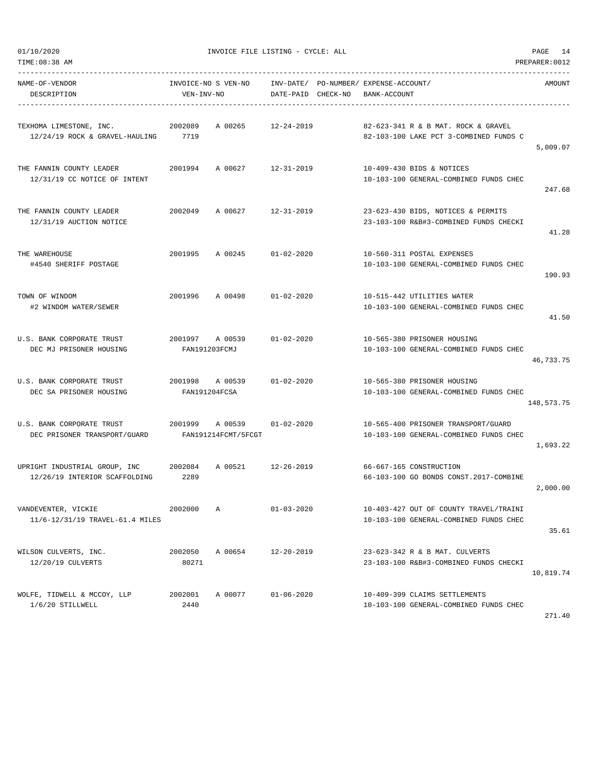| NAME-OF-VENDOR<br>DESCRIPTION                                  | INVOICE-NO S VEN-NO<br>VEN-INV-NO |                                        | DATE-PAID CHECK-NO | INV-DATE/ PO-NUMBER/ EXPENSE-ACCOUNT/<br>BANK-ACCOUNT                            | <b>AMOUNT</b> |
|----------------------------------------------------------------|-----------------------------------|----------------------------------------|--------------------|----------------------------------------------------------------------------------|---------------|
| TEXHOMA LIMESTONE, INC.<br>12/24/19 ROCK & GRAVEL-HAULING      | 2002089<br>7719                   | A 00265                                | 12-24-2019         | 82-623-341 R & B MAT. ROCK & GRAVEL<br>82-103-100 LAKE PCT 3-COMBINED FUNDS C    | 5,009.07      |
| THE FANNIN COUNTY LEADER<br>12/31/19 CC NOTICE OF INTENT       | 2001994                           | A 00627                                | 12-31-2019         | 10-409-430 BIDS & NOTICES<br>10-103-100 GENERAL-COMBINED FUNDS CHEC              | 247.68        |
| THE FANNIN COUNTY LEADER<br>12/31/19 AUCTION NOTICE            | 2002049                           | A 00627 12-31-2019                     |                    | 23-623-430 BIDS, NOTICES & PERMITS<br>23-103-100 R&B#3-COMBINED FUNDS CHECKI     | 41.28         |
| THE WAREHOUSE<br>#4540 SHERIFF POSTAGE                         | 2001995                           | A 00245                                | $01 - 02 - 2020$   | 10-560-311 POSTAL EXPENSES<br>10-103-100 GENERAL-COMBINED FUNDS CHEC             | 190.93        |
| TOWN OF WINDOM<br>#2 WINDOM WATER/SEWER                        | 2001996                           | A 00498 01-02-2020                     |                    | 10-515-442 UTILITIES WATER<br>10-103-100 GENERAL-COMBINED FUNDS CHEC             | 41.50         |
| U.S. BANK CORPORATE TRUST<br>DEC MJ PRISONER HOUSING           | 2001997<br>FAN191203FCMJ          | A 00539                                | $01 - 02 - 2020$   | 10-565-380 PRISONER HOUSING<br>10-103-100 GENERAL-COMBINED FUNDS CHEC            | 46,733.75     |
| U.S. BANK CORPORATE TRUST<br>DEC SA PRISONER HOUSING           | 2001998<br>FAN191204FCSA          | A 00539                                | $01 - 02 - 2020$   | 10-565-380 PRISONER HOUSING<br>10-103-100 GENERAL-COMBINED FUNDS CHEC            | 148,573.75    |
| U.S. BANK CORPORATE TRUST<br>DEC PRISONER TRANSPORT/GUARD      |                                   | 2001999 A 00539<br>FAN191214FCMT/5FCGT | $01 - 02 - 2020$   | 10-565-400 PRISONER TRANSPORT/GUARD<br>10-103-100 GENERAL-COMBINED FUNDS CHEC    | 1,693.22      |
| UPRIGHT INDUSTRIAL GROUP, INC<br>12/26/19 INTERIOR SCAFFOLDING | 2002084<br>2289                   | A 00521                                | $12 - 26 - 2019$   | 66-667-165 CONSTRUCTION<br>66-103-100 GO BONDS CONST.2017-COMBINE                | 2,000.00      |
| VANDEVENTER, VICKIE<br>11/6-12/31/19 TRAVEL-61.4 MILES         | 2002000                           | Α                                      | $01 - 03 - 2020$   | 10-403-427 OUT OF COUNTY TRAVEL/TRAINI<br>10-103-100 GENERAL-COMBINED FUNDS CHEC | 35.61         |
| WILSON CULVERTS, INC.<br>12/20/19 CULVERTS                     | 2002050<br>80271                  | A 00654                                | $12 - 20 - 2019$   | 23-623-342 R & B MAT. CULVERTS<br>23-103-100 R&B#3-COMBINED FUNDS CHECKI         | 10,819.74     |
| WOLFE, TIDWELL & MCCOY, LLP<br>1/6/20 STILLWELL                | 2002001<br>2440                   | A 00077                                | $01 - 06 - 2020$   | 10-409-399 CLAIMS SETTLEMENTS<br>10-103-100 GENERAL-COMBINED FUNDS CHEC          |               |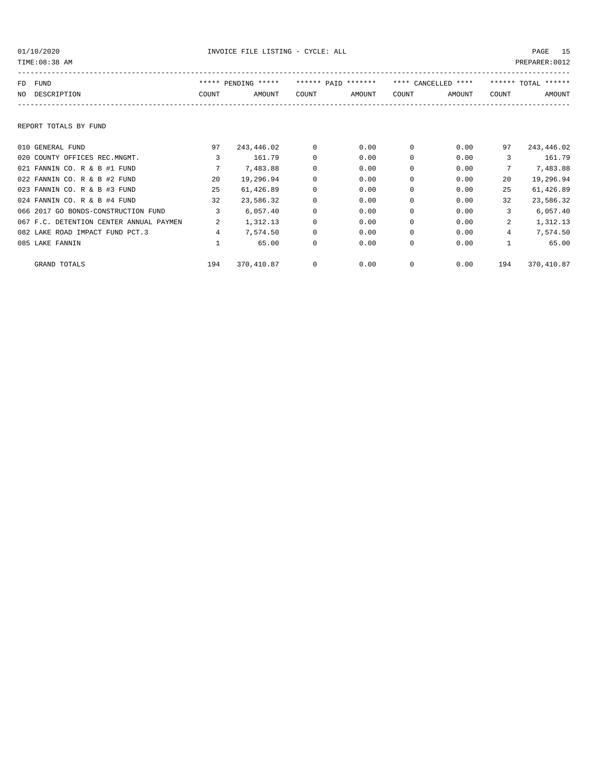| PREPARER: 0012<br>TIME: 08:38 AM |                                         |       |                     |          |                     |          |                     |       |                     |
|----------------------------------|-----------------------------------------|-------|---------------------|----------|---------------------|----------|---------------------|-------|---------------------|
| FD                               | FUND                                    |       | ***** PENDING ***** |          | ****** PAID ******* |          | **** CANCELLED **** |       | ****** TOTAL ****** |
| NO.                              | DESCRIPTION                             | COUNT | AMOUNT              | COUNT    | AMOUNT              | COUNT    | AMOUNT              | COUNT | AMOUNT              |
|                                  | REPORT TOTALS BY FUND                   |       |                     |          |                     |          |                     |       |                     |
|                                  | 010 GENERAL FUND                        | 97    | 243,446.02          | 0        | 0.00                | $\Omega$ | 0.00                | 97    | 243,446.02          |
|                                  | 020 COUNTY OFFICES REC.MNGMT.           | 3     | 161.79              | $\Omega$ | 0.00                | $\Omega$ | 0.00                | 3     | 161.79              |
|                                  | 021 FANNIN CO. R & B #1 FUND            | 7     | 7,483.88            | 0        | 0.00                | $\Omega$ | 0.00                | 7     | 7,483.88            |
|                                  | 022 FANNIN CO. R & B #2 FUND            | 20    | 19,296.94           | 0        | 0.00                | $\Omega$ | 0.00                | 20    | 19,296.94           |
|                                  | 023 FANNIN CO. R & B #3 FUND            | 25    | 61,426.89           | 0        | 0.00                | $\Omega$ | 0.00                | 25    | 61,426.89           |
|                                  | 024 FANNIN CO. R & B #4 FUND            | 32    | 23,586.32           | 0        | 0.00                | $\Omega$ | 0.00                | 32    | 23,586.32           |
|                                  | 066 2017 GO BONDS-CONSTRUCTION FUND     | 3     | 6,057.40            | 0        | 0.00                | $\Omega$ | 0.00                | 3     | 6,057.40            |
|                                  | 067 F.C. DETENTION CENTER ANNUAL PAYMEN | 2     | 1,312.13            | 0        | 0.00                | $\Omega$ | 0.00                | 2     | 1,312.13            |
|                                  | 082 LAKE ROAD IMPACT FUND PCT.3         | 4     | 7,574.50            | $\Omega$ | 0.00                | $\Omega$ | 0.00                | 4     | 7,574.50            |
|                                  | 085 LAKE FANNIN                         |       | 65.00               | 0        | 0.00                | $\Omega$ | 0.00                |       | 65.00               |
|                                  | GRAND TOTALS                            | 194   | 370,410.87          | 0        | 0.00                | 0        | 0.00                | 194   | 370,410.87          |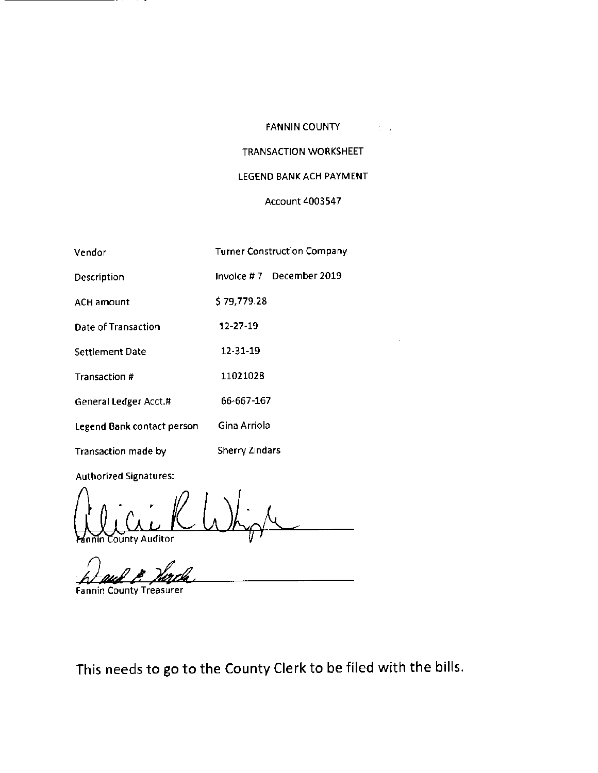## FANNIN COUNTY

# TRANSACTION WORKSHEET

## LEGEND BANK ACH PAYMENT

## Account 4003547

| Vendor                     | <b>Turner Construction Company</b> |
|----------------------------|------------------------------------|
| Description                | Invoice #7 December 2019           |
| <b>ACH amount</b>          | \$79,779.28                        |
| Date of Transaction        | 12-27-19                           |
| Settlement Date            | 12-31-19                           |
| Transaction #              | 11021028                           |
| General Ledger Acct.#      | 66-667-167                         |
| Legend Bank contact person | Gina Arriola                       |
| Transaction made by        | Sherry Zindars                     |

Authorized Signatures:

ounty Auditor

Fannin County Treasurer

This needs to go to the County Clerk to be filed with the bills.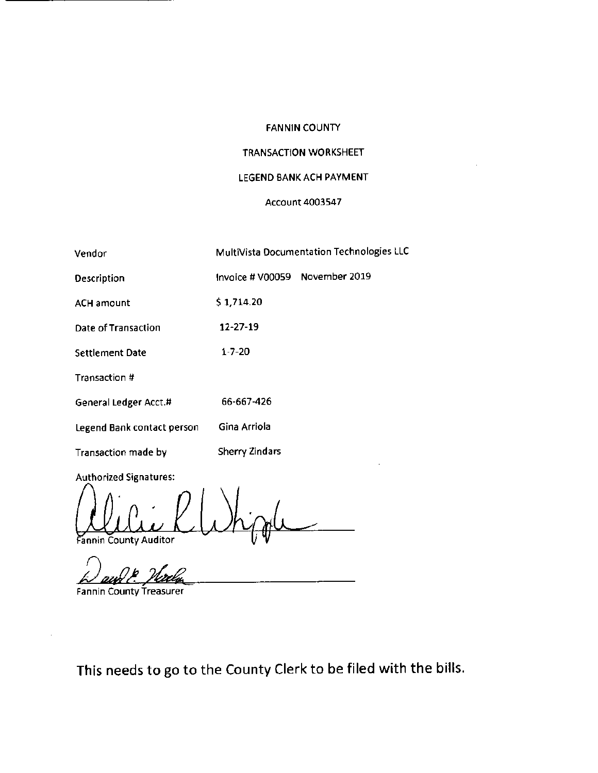## FANNIN COUNTY

## TRANSACTION WORKSHEET

## LEGEND BANK ACH PAYMENT

## Account 4003547

| Vendor                        |                                | MultiVista Documentation Technologies LLC |
|-------------------------------|--------------------------------|-------------------------------------------|
| Description                   | Invoice # V00059 November 2019 |                                           |
| <b>ACH amount</b>             | \$1,714.20                     |                                           |
| Date of Transaction           | 12-27-19                       |                                           |
| <b>Settlement Date</b>        | $1 - 7 - 20$                   |                                           |
| Transaction #                 |                                |                                           |
| General Ledger Acct.#         | 66-667-426                     |                                           |
| Legend Bank contact person    | Gina Arriola                   |                                           |
| Transaction made by           | <b>Sherry Zindars</b>          |                                           |
| <b>Authorized Signatures:</b> |                                |                                           |

annin County Auditor

Fannin County Treasurer

This needs to go to the County Clerk to be filed with the bills.